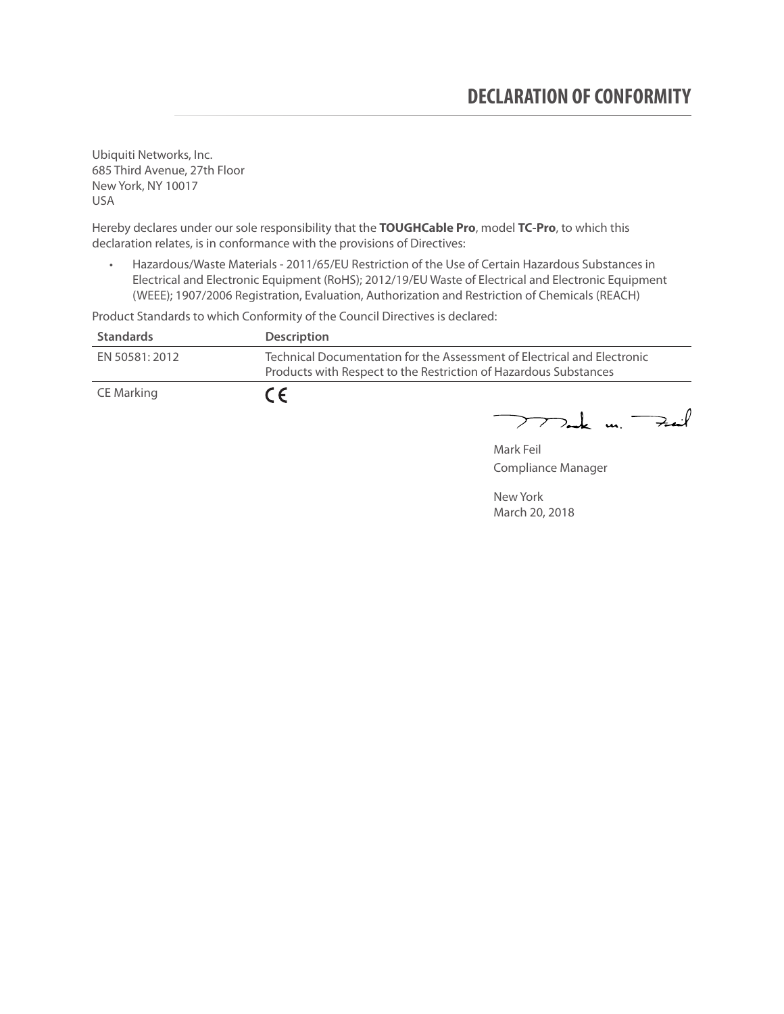Ubiquiti Networks, Inc. 685 Third Avenue, 27th Floor New York, NY 10017 USA

Hereby declares under our sole responsibility that the **TOUGHCable Pro**, model **TC-Pro**, to which this declaration relates, is in conformance with the provisions of Directives:

• Hazardous/Waste Materials - 2011/65/EU Restriction of the Use of Certain Hazardous Substances in Electrical and Electronic Equipment (RoHS); 2012/19/EU Waste of Electrical and Electronic Equipment (WEEE); 1907/2006 Registration, Evaluation, Authorization and Restriction of Chemicals (REACH)

Product Standards to which Conformity of the Council Directives is declared:

| <b>Standards</b> | <b>Description</b>                                                                                                                          |
|------------------|---------------------------------------------------------------------------------------------------------------------------------------------|
| EN 50581: 2012   | Technical Documentation for the Assessment of Electrical and Electronic<br>Products with Respect to the Restriction of Hazardous Substances |
| CE Marking       | $\epsilon$                                                                                                                                  |

 $772$ ak m. Fail

Mark Feil Compliance Manager

New York March 20, 2018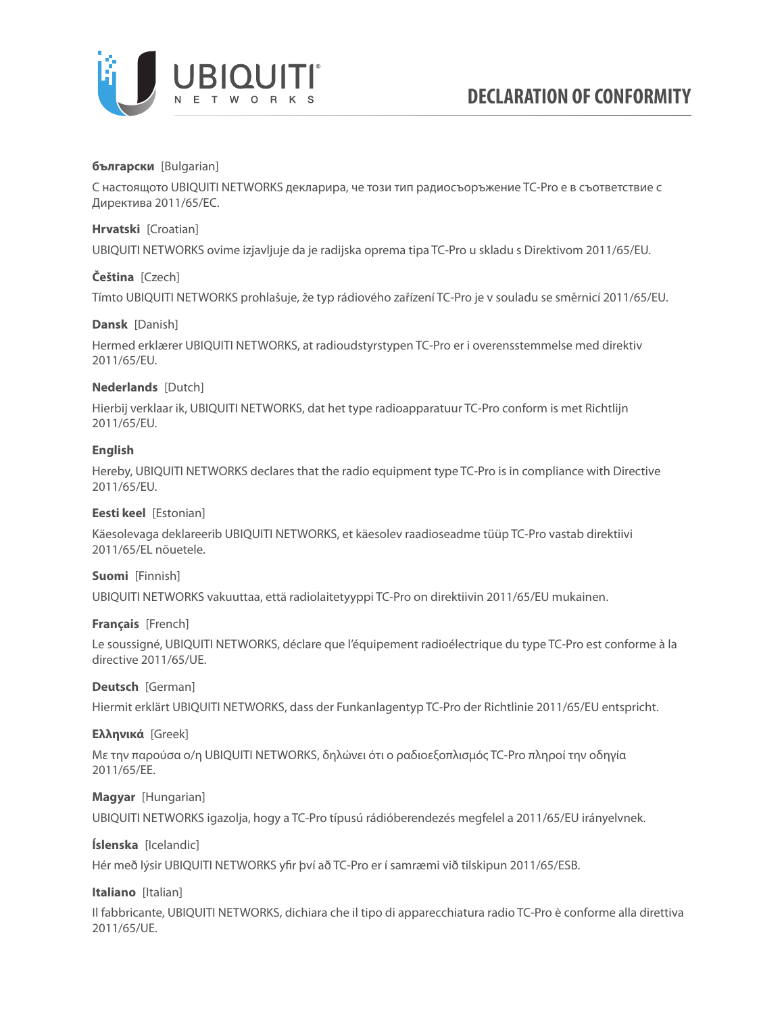

### **български** [Bulgarian]

С настоящото UBIQUITI NETWORKS декларира, че този тип радиосъоръжение TC-Pro е в съответствие с Директива 2011/65/ЕС.

### **Hrvatski** [Croatian]

UBIQUITI NETWORKS ovime izjavljuje da je radijska oprema tipa TC-Pro u skladu s Direktivom 2011/65/ЕU.

# **Čeština** [Czech]

Tímto UBIQUITI NETWORKS prohlašuje, že typ rádiového zařízení TC-Pro je v souladu se směrnicí 2011/65/ЕU.

### **Dansk** [Danish]

Hermed erklærer UBIQUITI NETWORKS, at radioudstyrstypen TC-Pro er i overensstemmelse med direktiv 2011/65/ЕU.

# **Nederlands** [Dutch]

Hierbij verklaar ik, UBIQUITI NETWORKS, dat het type radioapparatuur TC-Pro conform is met Richtlijn 2011/65/ЕU.

# **English**

Hereby, UBIQUITI NETWORKS declares that the radio equipment type TC-Pro is in compliance with Directive 2011/65/ЕU.

### **Eesti keel** [Estonian]

Käesolevaga deklareerib UBIQUITI NETWORKS, et käesolev raadioseadme tüüp TC-Pro vastab direktiivi 2011/65/EL nõuetele.

### **Suomi** [Finnish]

UBIQUITI NETWORKS vakuuttaa, että radiolaitetyyppi TC-Pro on direktiivin 2011/65/EU mukainen.

### **Français** [French]

Le soussigné, UBIQUITI NETWORKS, déclare que l'équipement radioélectrique du type TC-Pro est conforme à la directive 2011/65/UE.

### **Deutsch** [German]

Hiermit erklärt UBIQUITI NETWORKS, dass der Funkanlagentyp TC-Pro der Richtlinie 2011/65/EU entspricht.

### **Ελληνικά** [Greek]

Με την παρούσα ο/η UBIQUITI NETWORKS, δηλώνει ότι ο ραδιοεξοπλισμός TC-Pro πληροί την οδηγία 2011/65/EE.

### **Magyar** [Hungarian]

UBIQUITI NETWORKS igazolja, hogy a TC-Pro típusú rádióberendezés megfelel a 2011/65/EU irányelvnek.

# **Íslenska** [Icelandic]

Hér með lýsir UBIQUITI NETWORKS yfir því að TC-Pro er í samræmi við tilskipun 2011/65/ESB.

### **Italiano** [Italian]

Il fabbricante, UBIQUITI NETWORKS, dichiara che il tipo di apparecchiatura radio TC-Pro è conforme alla direttiva 2011/65/UE.